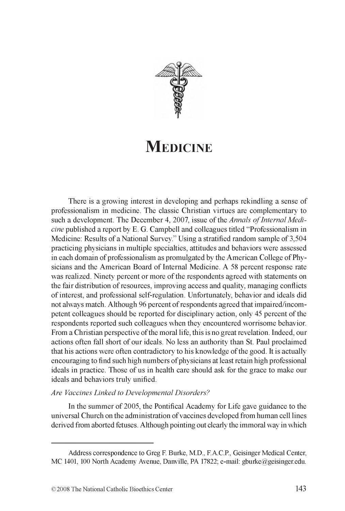

# **MEDICINE**

There is a growing interest in developing and perhaps rekindling a sense of professionalism in medicine. The classic Christian virtues are complementary to such a development. The December 4, 2007, issue of the *Annals of Internal Medicine* published a report by E. G. Campbell and colleagues titled "Professionalism in Medicine: Results of a National Survey." Using a stratified random sample of 3,504 practicing physicians in multiple specialties, attitudes and behaviors were assessed in each domain of professionalism as promulgated by the American College of Physicians and the American Board of Internal Medicine. A 58 percent response rate was realized. Ninety percent or more of the respondents agreed with statements on the fair distribution of resources, improving access and quality, managing conflicts of interest, and professional self-regulation. Unfortunately, behavior and ideals did not always match. Although 96 percent of respondents agreed that impaired/incompetent colleagues should be reported for disciplinary action, only 45 percent of the respondents reported such colleagues when they encountered worrisome behavior. From a Christian perspective of the moral life, this is no great revelation. Indeed, our actions often fall short of our ideals. No less an authority than St. Paul proclaimed that his actions were often contradictory to his knowledge of the good. It is actually encouraging to find such high numbers of physicians at least retain high professional ideals in practice. Those of us in health care should ask for the grace to make our ideals and behaviors truly unified.

### *Are Vaccines Linked to Developmental Disorders?*

In the summer of 2005, the Pontifical Academy for Life gave guidance to the universal Church on the administration of vaccines developed from human cell lines derived from aborted fetuses. Although pointing out clearly the immoral way in which

Address correspondence to Greg F. Burke, M.D., F.A.C.P., Geisinger Medical Center, MC 1401, 100 North Academy Avenue, Danville, PA 17822; e-mail: [gburke@geisinger.edu.](mailto:gburke@geisinger.edu)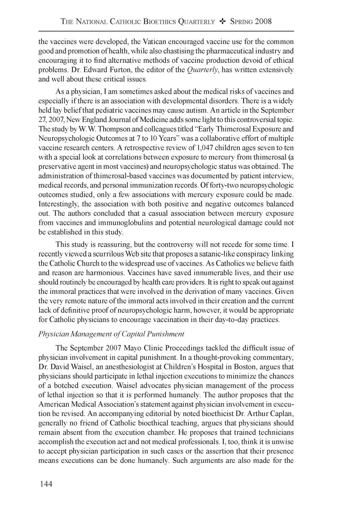the vaccines were developed, the Vatican encouraged vaccine use for the common good and promotion of health, while also chastising the pharmaceutical industry and encouraging it to find alternative methods of vaccine production devoid of ethical problems. Dr. Edward Furton, the editor of the *Quarterly,* has written extensively and well about these critical issues.

As a physician, I am sometimes asked about the medical risks of vaccines and especially if there is an association with developmental disorders. There is a widely held lay belief that pediatric vaccines may cause autism. An article in the September 27, 2007, New England Journal of Medicine adds some light to this controversial topic. The study by W. W. Thompson and colleagues titled "Early Thimerosal Exposure and Neuropsychologic Outcomes at 7 to 10 Years" was a collaborative effort of multiple vaccine research centers. A retrospective review of 1,047 children ages seven to ten with a special look at correlations between exposure to mercury from thimerosal (a preservative agent in most vaccines) and neuropsychologic status was obtained. The administration of thimerosal-based vaccines was documented by patient interview, medical records, and personal immunization records. Of forty-two neuropsychologic outcomes studied, only a few associations with mercury exposure could be made. Interestingly, the association with both positive and negative outcomes balanced out. The authors concluded that a casual association between mercury exposure from vaccines and immunoglobulins and potential neurological damage could not be established in this study.

This study is reassuring, but the controversy will not recede for some time. I recently viewed a scurrilous Web site that proposes a satanic-like conspiracy linking the Catholic Church to the widespread use of vaccines. As Catholics we believe faith and reason are harmonious. Vaccines have saved innumerable lives, and their use should routinely be encouraged by health care providers. It is right to speak out against the immoral practices that were involved in the derivation of many vaccines. Given the very remote nature of the immoral acts involved in their creation and the current lack of definitive proof of neuropsychologic harm, however, it would be appropriate for Catholic physicians to encourage vaccination in their day-to-day practices.

## **Physician Management of Capital Punishment**

The September 2007 Mayo Clinic Proceedings tackled the difficult issue of physician involvement in capital punishment. In a thought-provoking commentary, Dr. David Waisel, an anesthesiologist at Children's Hospital in Boston, argues that physicians should participate in lethal injection executions to minimize the chances of a botched execution. Waisel advocates physician management of the process of lethal injection so that it is performed humanely. The author proposes that the American Medical Association's statement against physician involvement in execution be revised. An accompanying editorial by noted bioethicist Dr. Arthur Caplan, generally no friend of Catholic bioethical teaching, argues that physicians should remain absent from the execution chamber. He proposes that trained technicians accomplish the execution act and not medical professionals. I, too, think it is unwise to accept physician participation in such cases or the assertion that their presence means executions can be done humanely. Such arguments are also made for the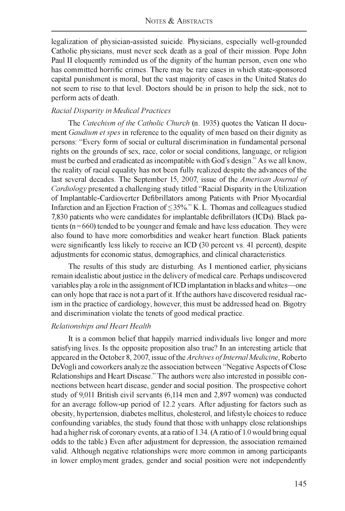legalization of physician-assisted suicide. Physicians, especially well-grounded Catholic physicians, must never seek death as a goal of their mission. Pope John Paul II eloquently reminded us of the dignity of the human person, even one who has committed horrific crimes. There may be rare cases in which state-sponsored capital punishment is moral, but the vast majority of cases in the United States do not seem to rise to that level. Doctors should be in prison to help the sick, not to perform acts of death.

# *Racial Disparity in Medical Practices*

The *Catechism of the Catholic Church* (n. 1935) quotes the Vatican II document *Gaudium et spes* in reference to the equality of men based on their dignity as persons: "Every form of social or cultural discrimination in fundamental personal rights on the grounds of sex, race, color or social conditions, language, or religion must be curbed and eradicated as incompatible with God's design." As we all know, the reality of racial equality has not been fully realized despite the advances of the last several decades. The September 15, 2007, issue of the *American Journal of Cardiology* presented a challenging study titled "Racial Disparity in the Utilization of Implantable-Cardioverter Defibrillators among Patients with Prior Myocardial Infarction and an Ejection Fraction of < 35%." K. L. Thomas and colleagues studied 7,830 patients who were candidates for implantable defibrillators (ICDs). Black patients (n=660) tended to be younger and female and have less education. They were also found to have more comorbidities and weaker heart function. Black patients were significantly less likely to receive an ICD (30 percent vs. 41 percent), despite adjustments for economic status, demographics, and clinical characteristics.

The results of this study are disturbing. As I mentioned earlier, physicians remain idealistic about justice in the delivery of medical care. Perhaps undiscovered variables play a role in the assignment of ICD implantation in blacks and whites—one can only hope that race is not a part of it. If the authors have discovered residual racism in the practice of cardiology, however, this must be addressed head on. Bigotry and discrimination violate the tenets of good medical practice.

## *Relationships and Heart Health*

It is a common belief that happily married individuals live longer and more satisfying lives. Is the opposite proposition also true? In an interesting article that appeared in the October 8, 2007, issue of the *Archives of Internal Medicine*, Roberto DeVogli and coworkers analyze the association between "Negative Aspects of Close Relationships and Heart Disease." The authors were also interested in possible connections between heart disease, gender and social position. The prospective cohort study of 9,011 British civil servants (6,114 men and 2,897 women) was conducted for an average follow-up period of 12.2 years. After adjusting for factors such as obesity, hypertension, diabetes mellitus, cholesterol, and lifestyle choices to reduce confounding variables, the study found that those with unhappy close relationships had a higher risk of coronary events, at a ratio of 1.34. (A ratio of 1.0 would bring equal odds to the table.) Even after adjustment for depression, the association remained valid. Although negative relationships were more common in among participants in lower employment grades, gender and social position were not independently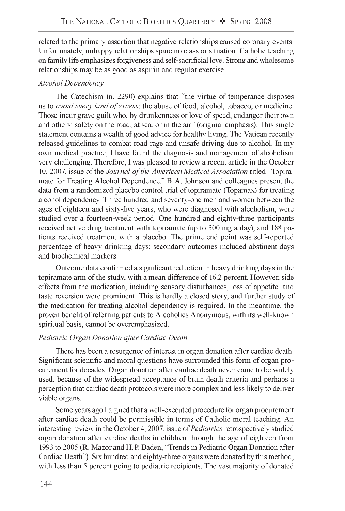related to the primary assertion that negative relationships caused coronary events. Unfortunately, unhappy relationships spare no class or situation. Catholic teaching on family life emphasizes forgiveness and self-sacrificial love. Strong and wholesome relationships may be as good as aspirin and regular exercise.

# *Alcohol Dependency*

The Catechism (n. 2290) explains that "the virtue of temperance disposes us to *avoid every kind of excess*: the abuse of food, alcohol, tobacco, or medicine. Those incur grave guilt who, by drunkenness or love of speed, endanger their own and others' safety on the road, at sea, or in the air" (original emphasis). This single statement contains a wealth of good advice for healthy living. The Vatican recently released guidelines to combat road rage and unsafe driving due to alcohol. In my own medical practice, I have found the diagnosis and management of alcoholism very challenging. Therefore, I was pleased to review a recent article in the October 10, 2007, issue of the *Journal of the American Medical Association* titled "Topiramate for Treating Alcohol Dependence." B. A. Johnson and colleagues present the data from a randomized placebo control trial of topiramate (Topamax) for treating alcohol dependency. Three hundred and seventy-one men and women between the ages of eighteen and sixty-five years, who were diagnosed with alcoholism, were studied over a fourteen-week period. One hundred and eighty-three participants received active drug treatment with topiramate (up to 300 mg a day), and 188 patients received treatment with a placebo. The prime end point was self-reported percentage of heavy drinking days; secondary outcomes included abstinent days and biochemical markers.

Outcome data confirmed a significant reduction in heavy drinking days in the topiramate arm of the study, with a mean difference of 16.2 percent. However, side effects from the medication, including sensory disturbances, loss of appetite, and taste reversion were prominent. This is hardly a closed story, and further study of the medication for treating alcohol dependency is required. In the meantime, the proven benefit of referring patients to Alcoholics Anonymous, with its well-known spiritual basis, cannot be overemphasized.

# *Pediatric Organ Donation after Cardiac Death*

There has been a resurgence of interest in organ donation after cardiac death. Significant scientific and moral questions have surrounded this form of organ procurement for decades. Organ donation after cardiac death never came to be widely used, because of the widespread acceptance of brain death criteria and perhaps a perception that cardiac death protocols were more complex and less likely to deliver viable organs.

Some years ago I argued that a well-executed procedure for organ procurement after cardiac death could be permissible in terms of Catholic moral teaching. An interesting review in the October 4, 2007, issue of *Pediatrics* retrospectively studied organ donation after cardiac deaths in children through the age of eighteen from 1993 to 2005 (R. Mazor and H. P. Baden, "Trends in Pediatric Organ Donation after Cardiac Death"). Six hundred and eighty-three organs were donated by this method, with less than 5 percent going to pediatric recipients. The vast majority of donated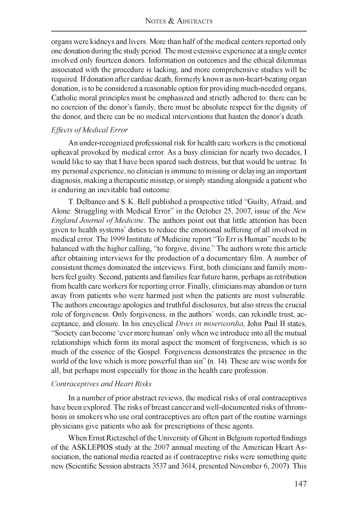organs were kidneys and livers. More than half of the medical centers reported only one donation during the study period. The most extensive experience at a single center involved only fourteen donors. Information on outcomes and the ethical dilemmas associated with the procedure is lacking, and more comprehensive studies will be required. If donation after cardiac death, formerly known as non-heart-beating organ donation, is to be considered a reasonable option for providing much-needed organs, Catholic moral principles must be emphasized and strictly adhered to: there can be no coercion of the donor's family, there must be absolute respect for the dignity of the donor, and there can be no medical interventions that hasten the donor's death.

#### *Effects of Medical Error*

An under-recognized professional risk for health care workers is the emotional upheaval provoked by medical error. As a busy clinician for nearly two decades, I would like to say that I have been spared such distress, but that would be untrue. In my personal experience, no clinician is immune to missing or delaying an important diagnosis, making a therapeutic misstep, or simply standing alongside a patient who is enduring an inevitable bad outcome.

T. Delbanco and S. K. Bell published a prospective titled "Guilty, Afraid, and Alone: Struggling with Medical Error" in the October 25, 2007, issue of the *New England Journal of Medicine*. The authors point out that little attention has been given to health systems' duties to reduce the emotional suffering of all involved in medical error. The 1999 Institute of Medicine report "To Err is Human" needs to be balanced with the higher calling, "to forgive, divine." The authors wrote this article after obtaining interviews for the production of a documentary film. A number of consistent themes dominated the interviews. First, both clinicians and family members feel guilty. Second, patients and families fear future harm, perhaps as retribution from health care workers for reporting error. Finally, clinicians may abandon or turn away from patients who were harmed just when the patients are most vulnerable. The authors encourage apologies and truthful disclosures, but also stress the crucial role of forgiveness. Only forgiveness, in the authors' words, can rekindle trust, acceptance, and closure. In his encyclical *Dives in misericordia,* John Paul II states, "Society can become 'ever more human' only when we introduce into all the mutual relationships which form its moral aspect the moment of forgiveness, which is so much of the essence of the Gospel. Forgiveness demonstrates the presence in the world of the love which is more powerful than sin" (n. 14). These are wise words for all, but perhaps most especially for those in the health care profession.

### *Contraceptives and Heart Risks*

In a number of prior abstract reviews, the medical risks of oral contraceptives have been explored. The risks of breast cancer and well-documented risks of thrombosis in smokers who use oral contraceptives are often part of the routine warnings physicians give patients who ask for prescriptions of these agents.

When Ernst Rietzschel of the University of Ghent in Belgium reported findings of the ASKLEPIOS study at the 2007 annual meeting of the American Heart Association, the national media reacted as if contraceptive risks were something quite new (Scientific Session abstracts 3537 and 3614, presented November 6, 2007). This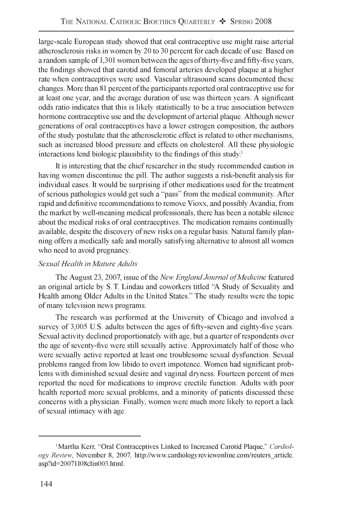large-scale European study showed that oral contraceptive use might raise arterial atherosclerosis risks in women by 20 to 30 percent for each decade of use. Based on a random sample of 1,301 women between the ages of thirty-five and fifty-five years, the findings showed that carotid and femoral arteries developed plaque at a higher rate when contraceptives were used. Vascular ultrasound scans documented these changes. More than 81 percent of the participants reported oral contraceptive use for at least one year, and the average duration of use was thirteen years. A significant odds ratio indicates that this is likely statistically to be a true association between hormone contraceptive use and the development of arterial plaque. Although newer generations of oral contraceptives have a lower estrogen composition, the authors of the study postulate that the atherosclerotic effect is related to other mechanisms, such as increased blood pressure and effects on cholesterol. All these physiologic interactions lend biologic plausibility to the findings of this study.1

It is interesting that the chief researcher in the study recommended caution in having women discontinue the pill. The author suggests a risk-benefit analysis for individual cases. It would be surprising if other medications used for the treatment of serious pathologies would get such a "pass" from the medical community. After rapid and definitive recommendations to remove Vioxx, and possibly Avandia, from the market by well-meaning medical professionals, there has been a notable silence about the medical risks of oral contraceptives. The medication remains continually available, despite the discovery of new risks on a regular basis. Natural family planning offers a medically safe and morally satisfying alternative to almost all women who need to avoid pregnancy.

## *Sexual Health in Mature Adults*

The August 23, 2007, issue of the *New England Journal of Medicine* featured an original article by S. T. Lindau and coworkers titled "A Study of Sexuality and Health among Older Adults in the United States." The study results were the topic of many television news programs.

The research was performed at the University of Chicago and involved a survey of 3,005 U.S. adults between the ages of fifty-seven and eighty-five years. Sexual activity declined proportionately with age, but a quarter of respondents over the age of seventy-five were still sexually active. Approximately half of those who were sexually active reported at least one troublesome sexual dysfunction. Sexual problems ranged from low libido to overt impotence. Women had significant problems with diminished sexual desire and vaginal dryness. Fourteen percent of men reported the need for medications to improve erectile function. Adults with poor health reported more sexual problems, and a minority of patients discussed these concerns with a physician. Finally, women were much more likely to report a lack of sexual intimacy with age.

<sup>&</sup>lt;sup>1</sup>Martha Kerr, "Oral Contraceptives Linked to Increased Carotid Plaque," *Cardiology Review,* November 8, 2007, [http://www.cardiologyreviewonline.com/reuters\\_article](http://www.cardiologyreviewonline.com/reuters_article). asp?id=20071108clin003. html.